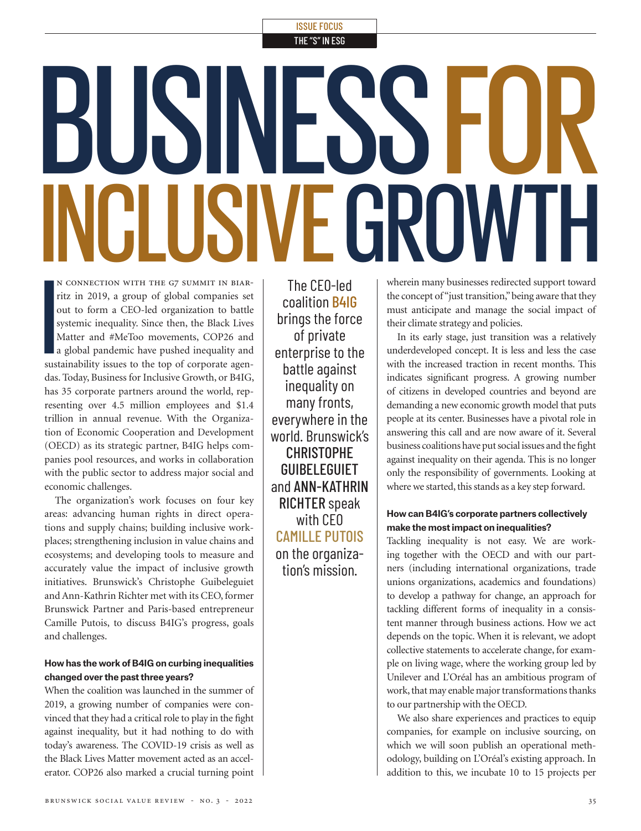# ISSUE FOCUS

THE "S" IN ESG

# BUSINESS FOR INCLUSIVE GROWTH

**I** n connection with the g7 summit in biarritz in 2019, a group of global companies set out to form a CEO-led organization to battle systemic inequality. Since then, the Black Lives Matter and #MeToo movements, COP26 and a global pandemic have pushed inequality and sustainability issues to the top of corporate agendas. Today, Business for Inclusive Growth, or B4IG, has 35 corporate partners around the world, representing over 4.5 million employees and \$1.4 trillion in annual revenue. With the Organization of Economic Cooperation and Development (OECD) as its strategic partner, B4IG helps companies pool resources, and works in collaboration with the public sector to address major social and economic challenges.

The organization's work focuses on four key areas: advancing human rights in direct operations and supply chains; building inclusive workplaces; strengthening inclusion in value chains and ecosystems; and developing tools to measure and accurately value the impact of inclusive growth initiatives. Brunswick's Christophe Guibeleguiet and Ann-Kathrin Richter met with its CEO, former Brunswick Partner and Paris-based entrepreneur Camille Putois, to discuss B4IG's progress, goals and challenges.

## **How has the work of B4IG on curbing inequalities changed over the past three years?**

When the coalition was launched in the summer of 2019, a growing number of companies were convinced that they had a critical role to play in the fight against inequality, but it had nothing to do with today's awareness. The COVID-19 crisis as well as the Black Lives Matter movement acted as an accelerator. COP26 also marked a crucial turning point

The CEO-led coalition B4IG brings the force of private enterprise to the battle against inequality on many fronts, everywhere in the world. Brunswick's CHRISTOPHE GUIBELEGUIET and ANN-KATHRIN RICHTER speak with CEO CAMILLE PUTOIS on the organization's mission.

wherein many businesses redirected support toward the concept of "just transition," being aware that they must anticipate and manage the social impact of their climate strategy and policies.

In its early stage, just transition was a relatively underdeveloped concept. It is less and less the case with the increased traction in recent months. This indicates significant progress. A growing number of citizens in developed countries and beyond are demanding a new economic growth model that puts people at its center. Businesses have a pivotal role in answering this call and are now aware of it. Several business coalitions have put social issues and the fight against inequality on their agenda. This is no longer only the responsibility of governments. Looking at where we started, this stands as a key step forward.

## **How can B4IG's corporate partners collectively make the most impact on inequalities?**

Tackling inequality is not easy. We are working together with the OECD and with our partners (including international organizations, trade unions organizations, academics and foundations) to develop a pathway for change, an approach for tackling different forms of inequality in a consistent manner through business actions. How we act depends on the topic. When it is relevant, we adopt collective statements to accelerate change, for example on living wage, where the working group led by Unilever and L'Oréal has an ambitious program of work, that may enable major transformations thanks to our partnership with the OECD.

We also share experiences and practices to equip companies, for example on inclusive sourcing, on which we will soon publish an operational methodology, building on L'Oréal's existing approach. In addition to this, we incubate 10 to 15 projects per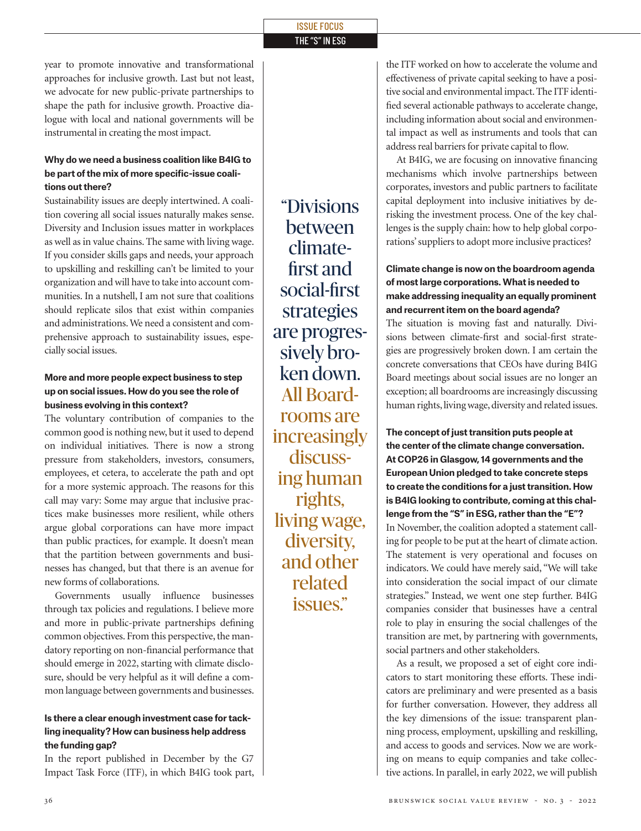#### ISSUE FOCUS THE "S" IN ESG

year to promote innovative and transformational approaches for inclusive growth. Last but not least, we advocate for new public-private partnerships to shape the path for inclusive growth. Proactive dialogue with local and national governments will be instrumental in creating the most impact.

#### **Why do we need a business coalition like B4IG to be part of the mix of more specific-issue coalitions out there?**

Sustainability issues are deeply intertwined. A coalition covering all social issues naturally makes sense. Diversity and Inclusion issues matter in workplaces as well as in value chains. The same with living wage. If you consider skills gaps and needs, your approach to upskilling and reskilling can't be limited to your organization and will have to take into account communities. In a nutshell, I am not sure that coalitions should replicate silos that exist within companies and administrations. We need a consistent and comprehensive approach to sustainability issues, especially social issues.

# **More and more people expect business to step up on social issues. How do you see the role of business evolving in this context?**

The voluntary contribution of companies to the common good is nothing new, but it used to depend on individual initiatives. There is now a strong pressure from stakeholders, investors, consumers, employees, et cetera, to accelerate the path and opt for a more systemic approach. The reasons for this call may vary: Some may argue that inclusive practices make businesses more resilient, while others argue global corporations can have more impact than public practices, for example. It doesn't mean that the partition between governments and businesses has changed, but that there is an avenue for new forms of collaborations.

Governments usually influence businesses through tax policies and regulations. I believe more and more in public-private partnerships defining common objectives. From this perspective, the mandatory reporting on non-financial performance that should emerge in 2022, starting with climate disclosure, should be very helpful as it will define a common language between governments and businesses.

# **Is there a clear enough investment case for tackling inequality? How can business help address the funding gap?**

In the report published in December by the G7 Impact Task Force (ITF), in which B4IG took part,

"Divisions between climatefirst and social-first strategies are progressively broken down. All Boardrooms are increasingly discussing human rights, living wage, diversity, and other related issues."

the ITF worked on how to accelerate the volume and effectiveness of private capital seeking to have a positive social and environmental impact. The ITF identified several actionable pathways to accelerate change, including information about social and environmental impact as well as instruments and tools that can address real barriers for private capital to flow.

At B4IG, we are focusing on innovative financing mechanisms which involve partnerships between corporates, investors and public partners to facilitate capital deployment into inclusive initiatives by derisking the investment process. One of the key challenges is the supply chain: how to help global corporations' suppliers to adopt more inclusive practices?

## **Climate change is now on the boardroom agenda of most large corporations. What is needed to make addressing inequality an equally prominent and recurrent item on the board agenda?**

The situation is moving fast and naturally. Divisions between climate-first and social-first strategies are progressively broken down. I am certain the concrete conversations that CEOs have during B4IG Board meetings about social issues are no longer an exception; all boardrooms are increasingly discussing human rights, living wage, diversity and related issues.

**The concept of just transition puts people at the center of the climate change conversation. At COP26 in Glasgow, 14 governments and the European Union pledged to take concrete steps to create the conditions for a just transition. How is B4IG looking to contribute, coming at this challenge from the "S" in ESG, rather than the "E"?**  In November, the coalition adopted a statement calling for people to be put at the heart of climate action. The statement is very operational and focuses on indicators. We could have merely said, "We will take into consideration the social impact of our climate strategies." Instead, we went one step further. B4IG companies consider that businesses have a central role to play in ensuring the social challenges of the transition are met, by partnering with governments, social partners and other stakeholders.

As a result, we proposed a set of eight core indicators to start monitoring these efforts. These indicators are preliminary and were presented as a basis for further conversation. However, they address all the key dimensions of the issue: transparent planning process, employment, upskilling and reskilling, and access to goods and services. Now we are working on means to equip companies and take collective actions. In parallel, in early 2022, we will publish